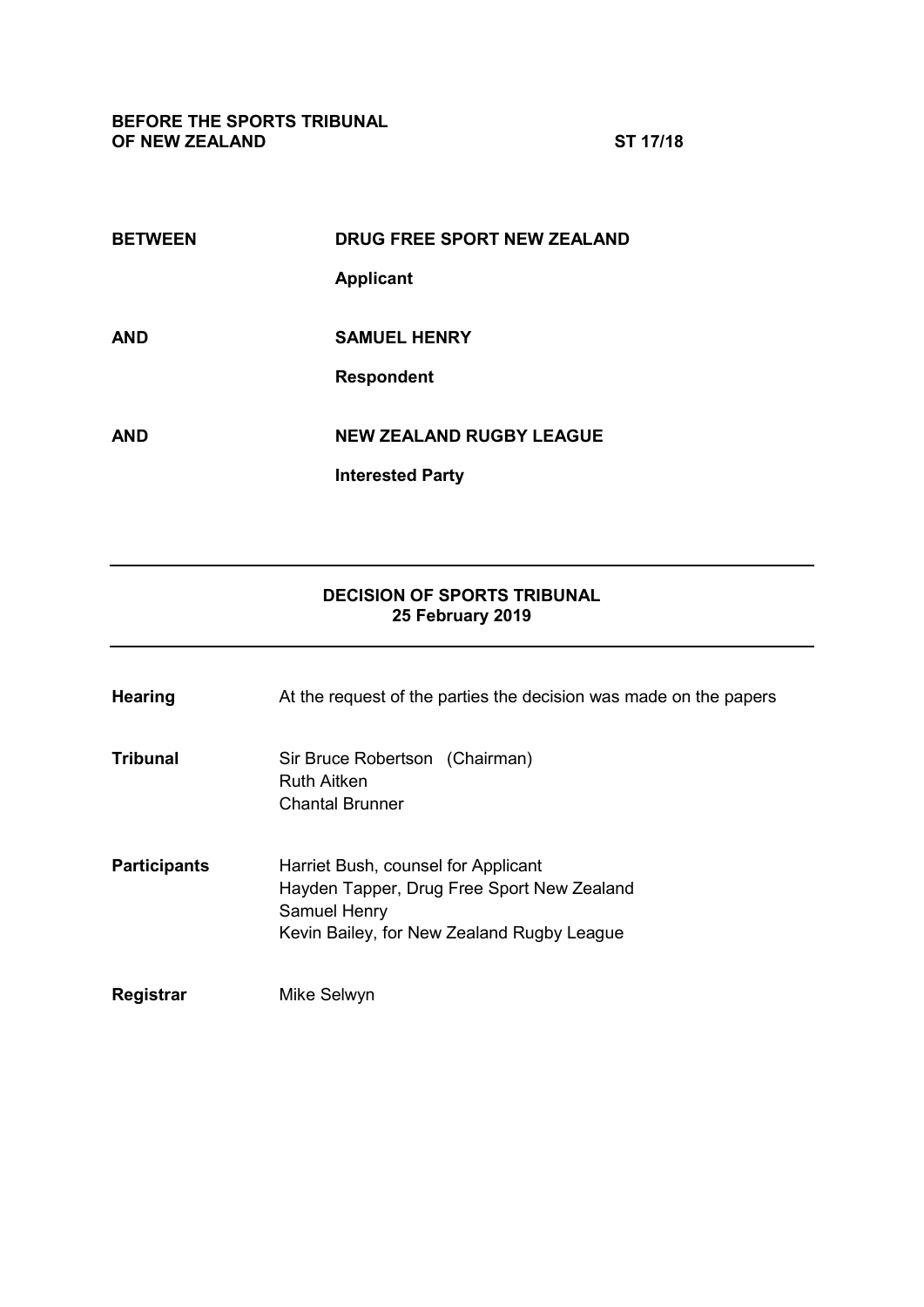**BEFORE THE SPORTS TRIBUNAL OF NEW ZEALAND ST 17/18**

| <b>BETWEEN</b> | <b>DRUG FREE SPORT NEW ZEALAND</b> |
|----------------|------------------------------------|
|                | <b>Applicant</b>                   |
|                |                                    |
| AND            | <b>SAMUEL HENRY</b>                |
|                | <b>Respondent</b>                  |
|                |                                    |
| AND            | <b>NEW ZEALAND RUGBY LEAGUE</b>    |
|                | <b>Interested Party</b>            |
|                |                                    |

# **DECISION OF SPORTS TRIBUNAL 25 February 2019**

| <b>Hearing</b>      | At the request of the parties the decision was made on the papers                                                                                      |
|---------------------|--------------------------------------------------------------------------------------------------------------------------------------------------------|
| <b>Tribunal</b>     | Sir Bruce Robertson (Chairman)<br><b>Ruth Aitken</b><br><b>Chantal Brunner</b>                                                                         |
| <b>Participants</b> | Harriet Bush, counsel for Applicant<br>Hayden Tapper, Drug Free Sport New Zealand<br><b>Samuel Henry</b><br>Kevin Bailey, for New Zealand Rugby League |
| Registrar           | Mike Selwyn                                                                                                                                            |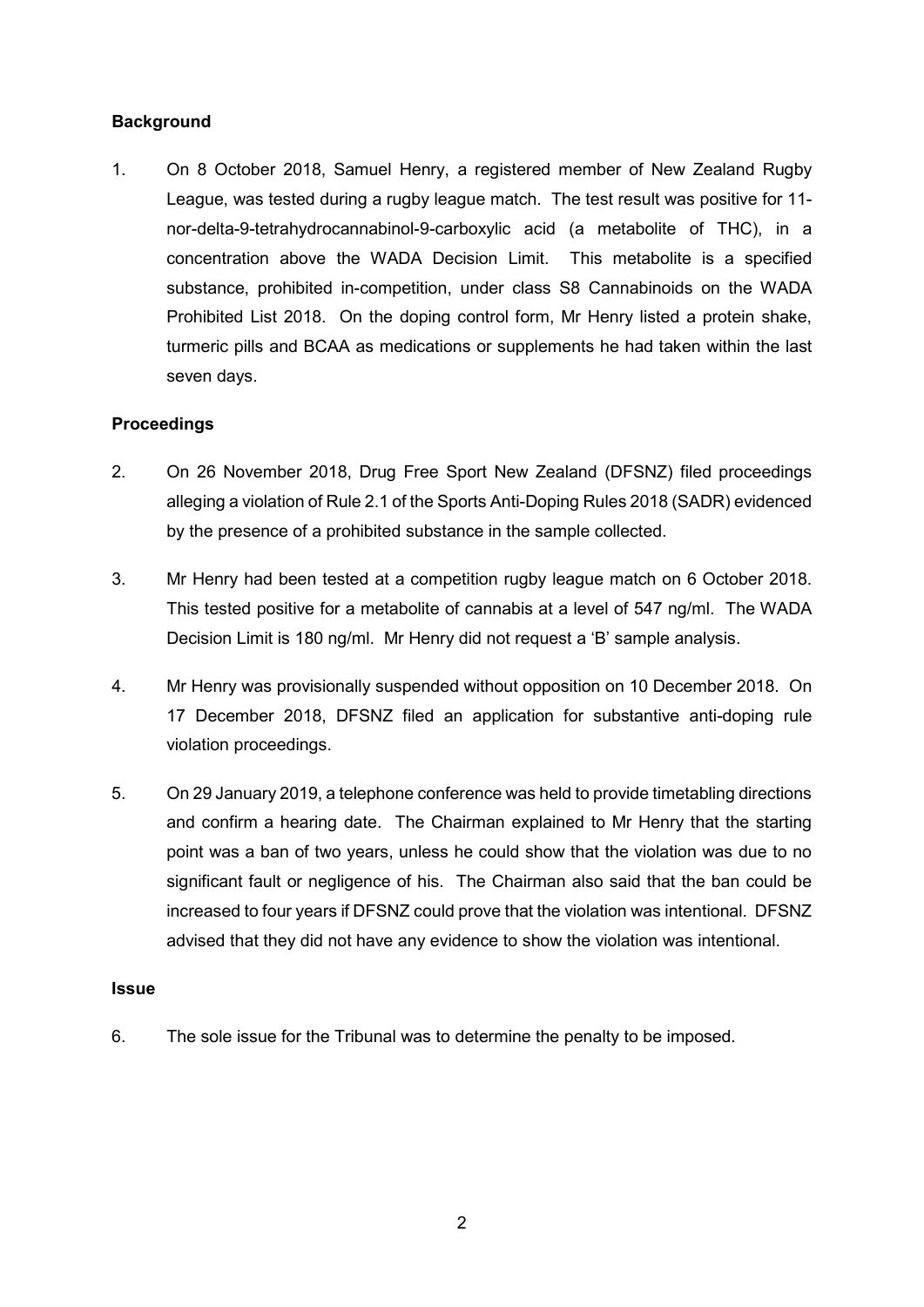# **Background**

1. On 8 October 2018, Samuel Henry, a registered member of New Zealand Rugby League, was tested during a rugby league match. The test result was positive for 11 nor-delta-9-tetrahydrocannabinol-9-carboxylic acid (a metabolite of THC), in a concentration above the WADA Decision Limit. This metabolite is a specified substance, prohibited in-competition, under class S8 Cannabinoids on the WADA Prohibited List 2018. On the doping control form, Mr Henry listed a protein shake, turmeric pills and BCAA as medications or supplements he had taken within the last seven days.

## **Proceedings**

- 2. On 26 November 2018, Drug Free Sport New Zealand (DFSNZ) filed proceedings alleging a violation of Rule 2.1 of the Sports Anti-Doping Rules 2018 (SADR) evidenced by the presence of a prohibited substance in the sample collected.
- 3. Mr Henry had been tested at a competition rugby league match on 6 October 2018. This tested positive for a metabolite of cannabis at a level of 547 ng/ml. The WADA Decision Limit is 180 ng/ml. Mr Henry did not request a 'B' sample analysis.
- 4. Mr Henry was provisionally suspended without opposition on 10 December 2018. On 17 December 2018, DFSNZ filed an application for substantive anti-doping rule violation proceedings.
- 5. On 29 January 2019, a telephone conference was held to provide timetabling directions and confirm a hearing date. The Chairman explained to Mr Henry that the starting point was a ban of two years, unless he could show that the violation was due to no significant fault or negligence of his. The Chairman also said that the ban could be increased to four years if DFSNZ could prove that the violation was intentional. DFSNZ advised that they did not have any evidence to show the violation was intentional.

### **Issue**

6. The sole issue for the Tribunal was to determine the penalty to be imposed.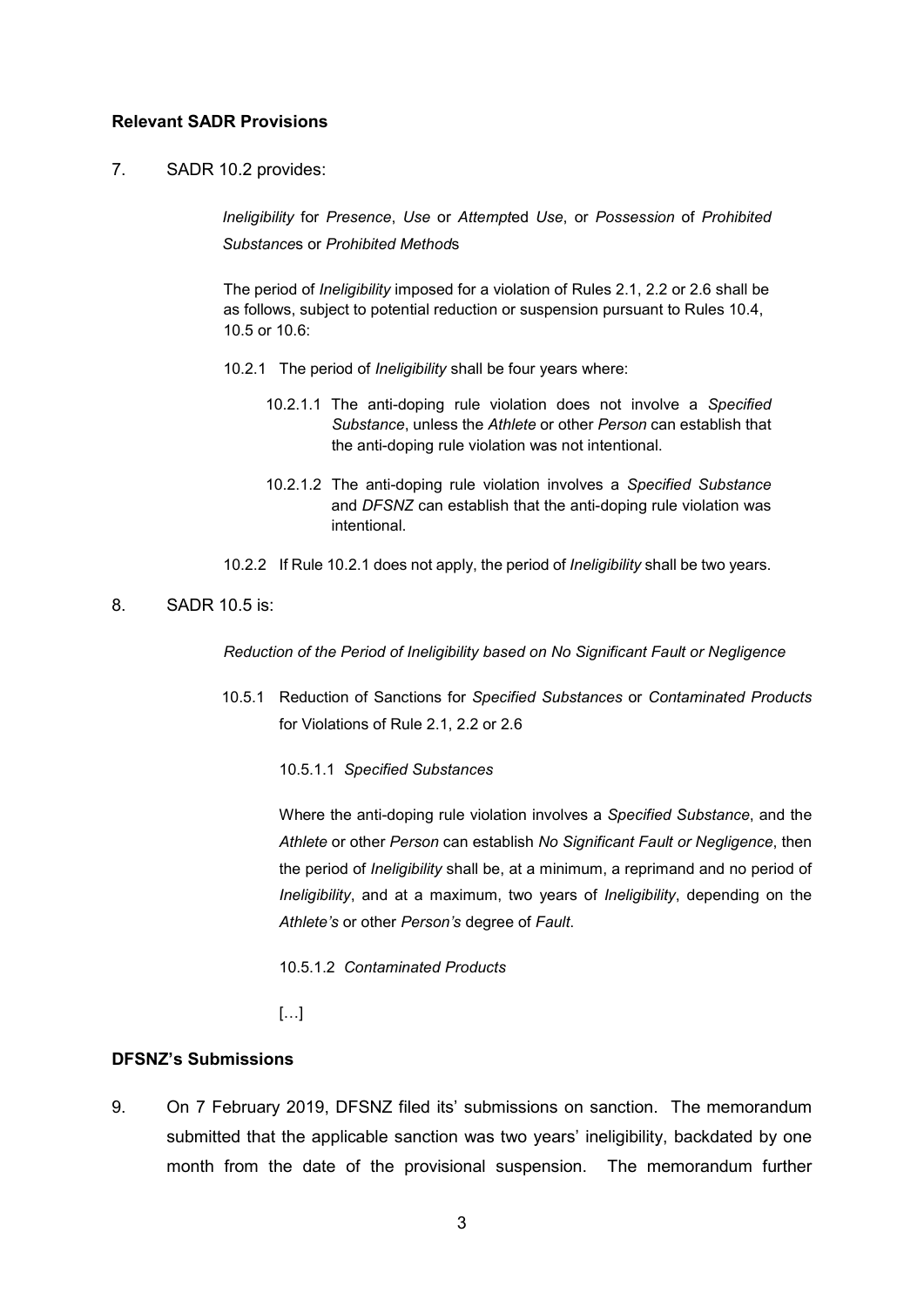### **Relevant SADR Provisions**

7. SADR 10.2 provides:

*Ineligibility* for *Presence*, *Use* or *Attempt*ed *Use*, or *Possession* of *Prohibited Substance*s or *Prohibited Method*s

The period of *Ineligibility* imposed for a violation of Rules 2.1, 2.2 or 2.6 shall be as follows, subject to potential reduction or suspension pursuant to Rules 10.4, 10.5 or 10.6:

- 10.2.1 The period of *Ineligibility* shall be four years where:
	- 10.2.1.1 The anti-doping rule violation does not involve a *Specified Substance*, unless the *Athlete* or other *Person* can establish that the anti-doping rule violation was not intentional.
	- 10.2.1.2 The anti-doping rule violation involves a *Specified Substance*  and *DFSNZ* can establish that the anti-doping rule violation was intentional.
- 10.2.2 If Rule 10.2.1 does not apply, the period of *Ineligibility* shall be two years.

# 8. SADR 10.5 is:

*Reduction of the Period of Ineligibility based on No Significant Fault or Negligence*

10.5.1 Reduction of Sanctions for *Specified Substances* or *Contaminated Products*  for Violations of Rule 2.1, 2.2 or 2.6

10.5.1.1 *Specified Substances*

Where the anti-doping rule violation involves a *Specified Substance*, and the *Athlete* or other *Person* can establish *No Significant Fault or Negligence*, then the period of *Ineligibility* shall be, at a minimum, a reprimand and no period of *Ineligibility*, and at a maximum, two years of *Ineligibility*, depending on the *Athlete's* or other *Person's* degree of *Fault*.

10.5.1.2 *Contaminated Products*

[…]

#### **DFSNZ's Submissions**

9. On 7 February 2019, DFSNZ filed its' submissions on sanction. The memorandum submitted that the applicable sanction was two years' ineligibility, backdated by one month from the date of the provisional suspension. The memorandum further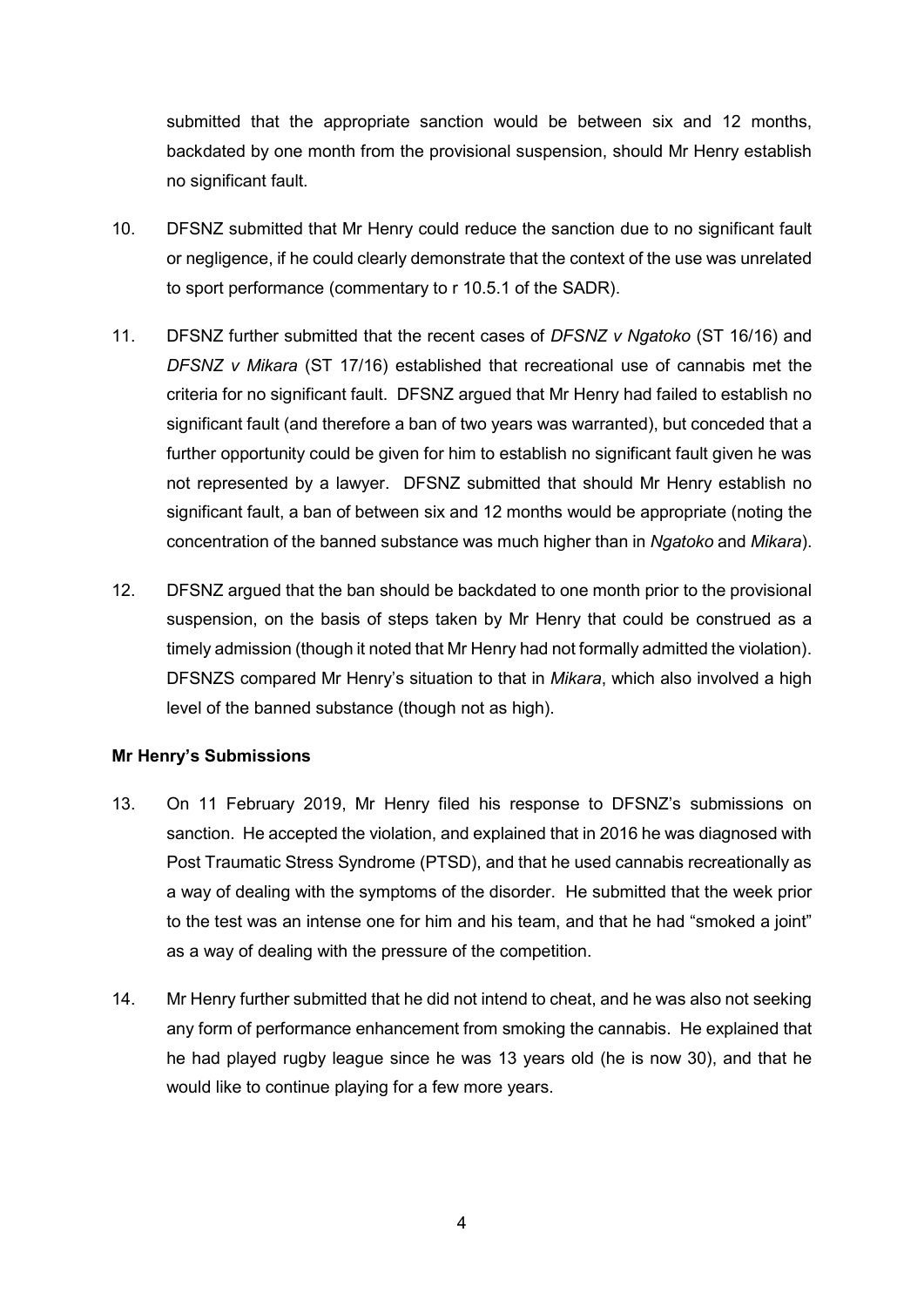submitted that the appropriate sanction would be between six and 12 months, backdated by one month from the provisional suspension, should Mr Henry establish no significant fault.

- 10. DFSNZ submitted that Mr Henry could reduce the sanction due to no significant fault or negligence, if he could clearly demonstrate that the context of the use was unrelated to sport performance (commentary to r 10.5.1 of the SADR).
- 11. DFSNZ further submitted that the recent cases of *DFSNZ v Ngatoko* (ST 16/16) and *DFSNZ v Mikara* (ST 17/16) established that recreational use of cannabis met the criteria for no significant fault. DFSNZ argued that Mr Henry had failed to establish no significant fault (and therefore a ban of two years was warranted), but conceded that a further opportunity could be given for him to establish no significant fault given he was not represented by a lawyer. DFSNZ submitted that should Mr Henry establish no significant fault, a ban of between six and 12 months would be appropriate (noting the concentration of the banned substance was much higher than in *Ngatoko* and *Mikara*).
- 12. DFSNZ argued that the ban should be backdated to one month prior to the provisional suspension, on the basis of steps taken by Mr Henry that could be construed as a timely admission (though it noted that Mr Henry had not formally admitted the violation). DFSNZS compared Mr Henry's situation to that in *Mikara*, which also involved a high level of the banned substance (though not as high).

## **Mr Henry's Submissions**

- 13. On 11 February 2019, Mr Henry filed his response to DFSNZ's submissions on sanction. He accepted the violation, and explained that in 2016 he was diagnosed with Post Traumatic Stress Syndrome (PTSD), and that he used cannabis recreationally as a way of dealing with the symptoms of the disorder. He submitted that the week prior to the test was an intense one for him and his team, and that he had "smoked a joint" as a way of dealing with the pressure of the competition.
- 14. Mr Henry further submitted that he did not intend to cheat, and he was also not seeking any form of performance enhancement from smoking the cannabis. He explained that he had played rugby league since he was 13 years old (he is now 30), and that he would like to continue playing for a few more years.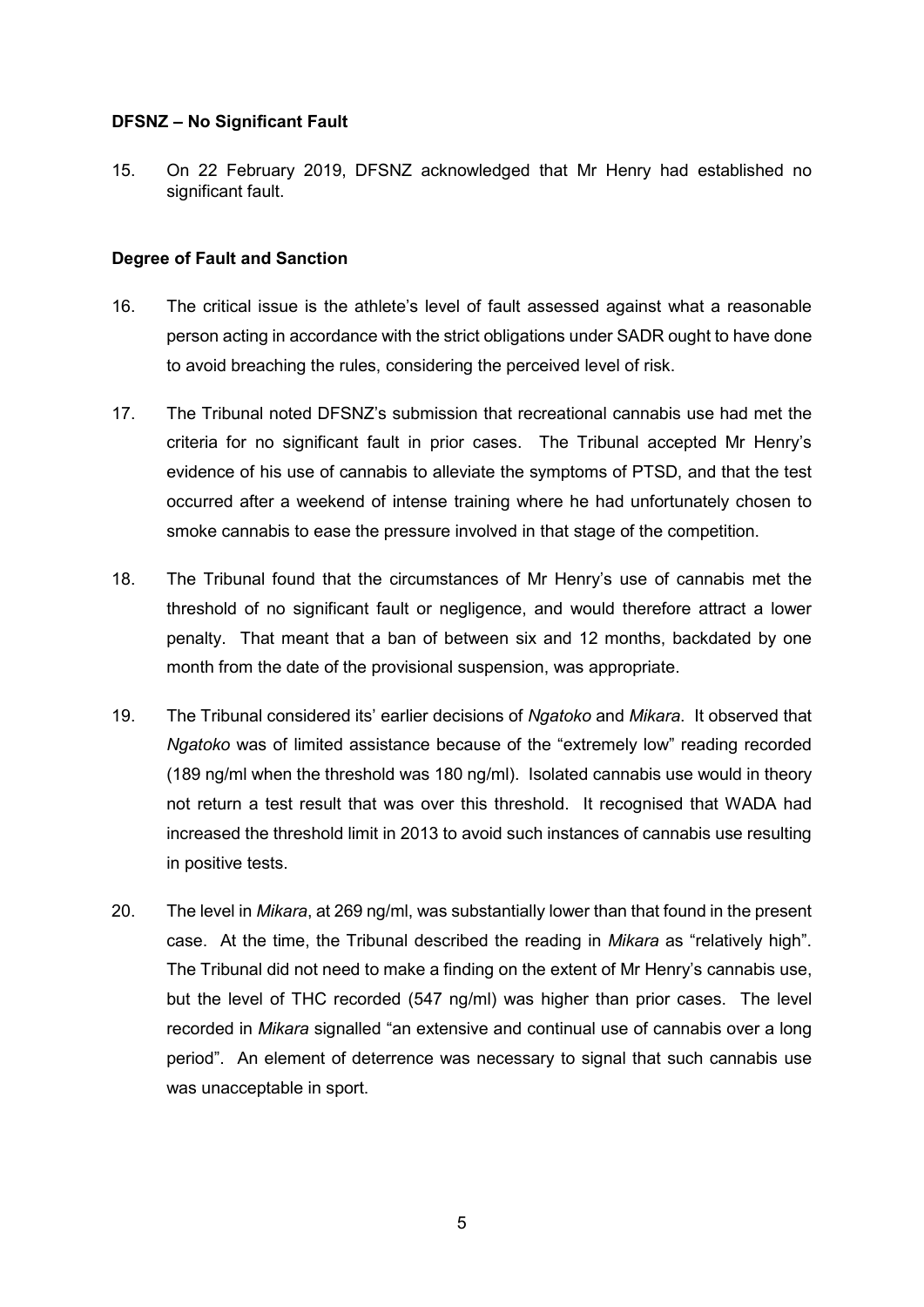### **DFSNZ – No Significant Fault**

15. On 22 February 2019, DFSNZ acknowledged that Mr Henry had established no significant fault.

### **Degree of Fault and Sanction**

- 16. The critical issue is the athlete's level of fault assessed against what a reasonable person acting in accordance with the strict obligations under SADR ought to have done to avoid breaching the rules, considering the perceived level of risk.
- 17. The Tribunal noted DFSNZ's submission that recreational cannabis use had met the criteria for no significant fault in prior cases. The Tribunal accepted Mr Henry's evidence of his use of cannabis to alleviate the symptoms of PTSD, and that the test occurred after a weekend of intense training where he had unfortunately chosen to smoke cannabis to ease the pressure involved in that stage of the competition.
- 18. The Tribunal found that the circumstances of Mr Henry's use of cannabis met the threshold of no significant fault or negligence, and would therefore attract a lower penalty. That meant that a ban of between six and 12 months, backdated by one month from the date of the provisional suspension, was appropriate.
- 19. The Tribunal considered its' earlier decisions of *Ngatoko* and *Mikara*. It observed that *Ngatoko* was of limited assistance because of the "extremely low" reading recorded (189 ng/ml when the threshold was 180 ng/ml). Isolated cannabis use would in theory not return a test result that was over this threshold. It recognised that WADA had increased the threshold limit in 2013 to avoid such instances of cannabis use resulting in positive tests.
- 20. The level in *Mikara*, at 269 ng/ml, was substantially lower than that found in the present case. At the time, the Tribunal described the reading in *Mikara* as "relatively high". The Tribunal did not need to make a finding on the extent of Mr Henry's cannabis use, but the level of THC recorded (547 ng/ml) was higher than prior cases. The level recorded in *Mikara* signalled "an extensive and continual use of cannabis over a long period". An element of deterrence was necessary to signal that such cannabis use was unacceptable in sport.